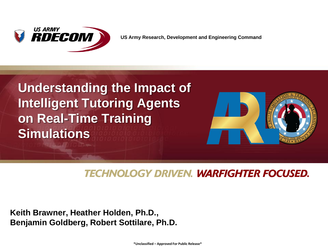

## **Understanding the Impact of Intelligent Tutoring Agents on Real-Time Training Simulations**



#### **TECHNOLOGY DRIVEN. WARFIGHTER FOCUSED.**

**Keith Brawner, Heather Holden, Ph.D., Benjamin Goldberg, Robert Sottilare, Ph.D.** 

**\*Unclassified – Approved For Public Release\***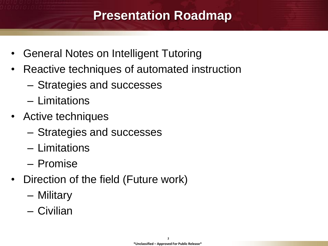### **Presentation Roadmap**

- General Notes on Intelligent Tutoring
- Reactive techniques of automated instruction
	- Strategies and successes
	- Limitations
- Active techniques
	- Strategies and successes
	- Limitations
	- Promise
- Direction of the field (Future work)
	- Military
	- Civilian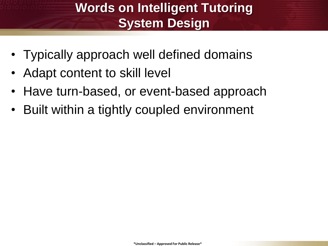## **Words on Intelligent Tutoring System Design**

- Typically approach well defined domains
- Adapt content to skill level
- Have turn-based, or event-based approach
- Built within a tightly coupled environment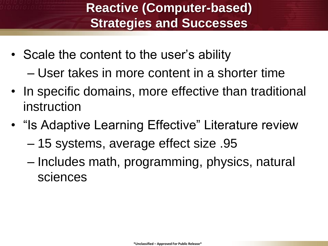## **Reactive (Computer-based) Strategies and Successes**

- Scale the content to the user's ability – User takes in more content in a shorter time
- In specific domains, more effective than traditional instruction
- "Is Adaptive Learning Effective" Literature review
	- 15 systems, average effect size .95
	- Includes math, programming, physics, natural sciences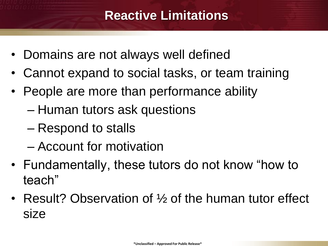### **Reactive Limitations**

- Domains are not always well defined
- Cannot expand to social tasks, or team training
- People are more than performance ability
	- Human tutors ask questions
	- Respond to stalls
	- Account for motivation
- Fundamentally, these tutors do not know "how to teach"
- Result? Observation of 1/2 of the human tutor effect size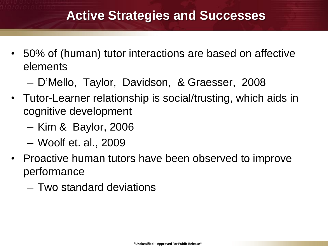### **Active Strategies and Successes**

- 50% of (human) tutor interactions are based on affective elements
	- D'Mello, Taylor, Davidson, & Graesser, 2008
- Tutor-Learner relationship is social/trusting, which aids in cognitive development
	- Kim & Baylor, 2006
	- Woolf et. al., 2009
- Proactive human tutors have been observed to improve performance
	- Two standard deviations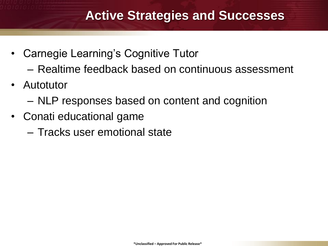#### **Active Strategies and Successes**

- Carnegie Learning's Cognitive Tutor
	- Realtime feedback based on continuous assessment
- Autotutor
	- NLP responses based on content and cognition
- Conati educational game
	- Tracks user emotional state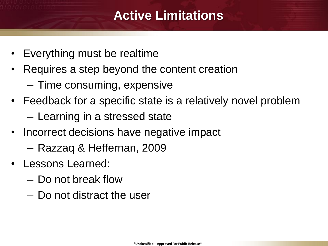### **Active Limitations**

- Everything must be realtime
- Requires a step beyond the content creation
	- Time consuming, expensive
- Feedback for a specific state is a relatively novel problem
	- Learning in a stressed state
- Incorrect decisions have negative impact
	- Razzaq & Heffernan, 2009
- Lessons Learned:
	- Do not break flow
	- Do not distract the user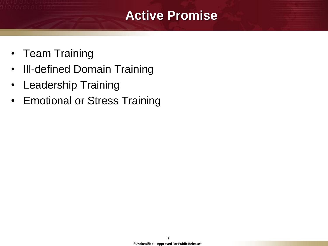#### **Active Promise**

- Team Training
- Ill-defined Domain Training
- Leadership Training
- Emotional or Stress Training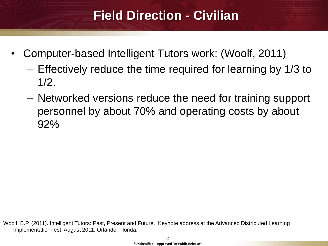## **Field Direction - Civilian**

- Computer-based Intelligent Tutors work: (Woolf, 2011)
	- Effectively reduce the time required for learning by 1/3 to  $1/2$ .
	- Networked versions reduce the need for training support personnel by about 70% and operating costs by about 92%

Woolf, B.P. (2011). Intelligent Tutors: Past, Present and Future. Keynote address at the Advanced Distributed Learning ImplementationFest, August 2011, Orlando, Florida.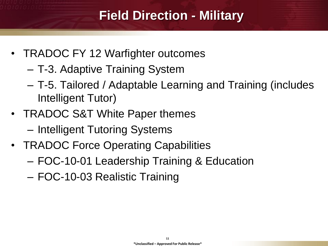## **Field Direction - Military**

- TRADOC FY 12 Warfighter outcomes
	- T-3. Adaptive Training System
	- T-5. Tailored / Adaptable Learning and Training (includes Intelligent Tutor)
- TRADOC S&T White Paper themes
	- Intelligent Tutoring Systems
- TRADOC Force Operating Capabilities
	- FOC-10-01 Leadership Training & Education

– FOC-10-03 Realistic Training